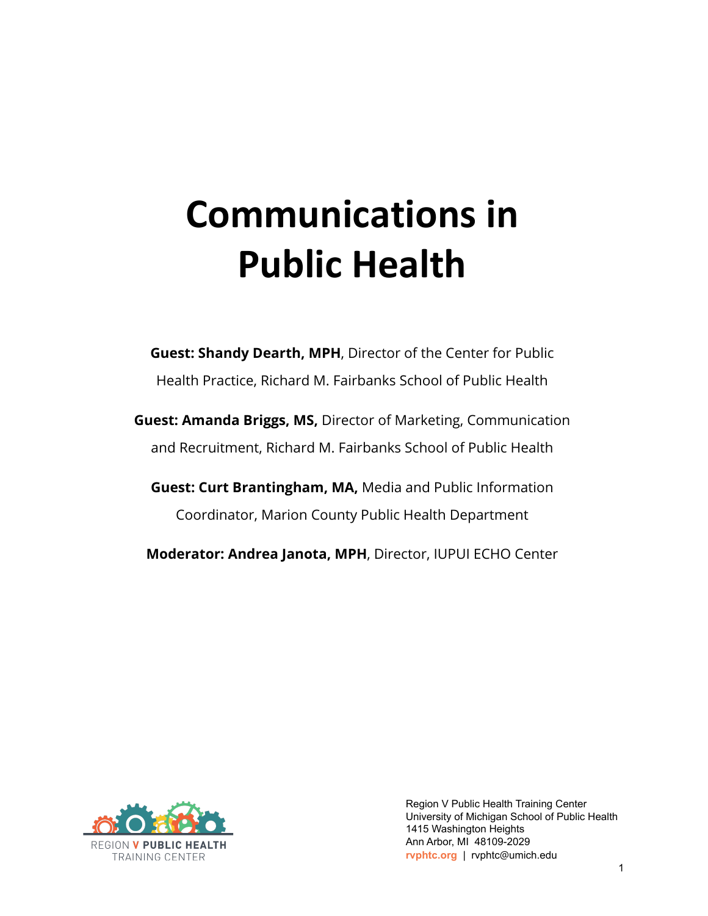## **Communications in Public Health**

**Guest: Shandy Dearth, MPH**, Director of the Center for Public Health Practice, Richard M. Fairbanks School of Public Health

**Guest: Amanda Briggs, MS,** Director of Marketing, Communication and Recruitment, Richard M. Fairbanks School of Public Health

**Guest: Curt Brantingham, MA,** Media and Public Information Coordinator, Marion County Public Health Department

**Moderator: Andrea Janota, MPH**, Director, IUPUI ECHO Center



Region V Public Health Training Center University of Michigan School of Public Health 1415 Washington Heights Ann Arbor, MI 48109-2029 **rvphtc.org** | rvphtc@umich.edu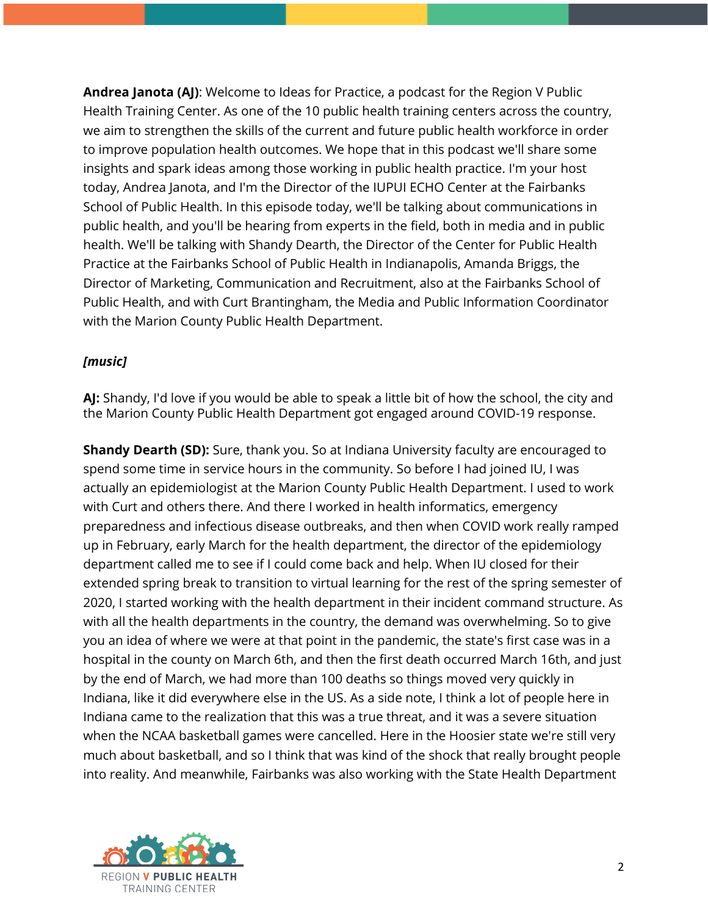**Andrea Janota (AJ)**: Welcome to Ideas for Practice, a podcast for the Region V Public Health Training Center. As one of the 10 public health training centers across the country, we aim to strengthen the skills of the current and future public health workforce in order to improve population health outcomes. We hope that in this podcast we'll share some insights and spark ideas among those working in public health practice. I'm your host today, Andrea Janota, and I'm the Director of the IUPUI ECHO Center at the Fairbanks School of Public Health. In this episode today, we'll be talking about communications in public health, and you'll be hearing from experts in the field, both in media and in public health. We'll be talking with Shandy Dearth, the Director of the Center for Public Health Practice at the Fairbanks School of Public Health in Indianapolis, Amanda Briggs, the Director of Marketing, Communication and Recruitment, also at the Fairbanks School of Public Health, and with Curt Brantingham, the Media and Public Information Coordinator with the Marion County Public Health Department.

## *[music]*

**AJ:** Shandy, I'd love if you would be able to speak a little bit of how the school, the city and the Marion County Public Health Department got engaged around COVID-19 response.

**Shandy Dearth (SD):** Sure, thank you. So at Indiana University faculty are encouraged to spend some time in service hours in the community. So before I had joined IU, I was actually an epidemiologist at the Marion County Public Health Department. I used to work with Curt and others there. And there I worked in health informatics, emergency preparedness and infectious disease outbreaks, and then when COVID work really ramped up in February, early March for the health department, the director of the epidemiology department called me to see if I could come back and help. When IU closed for their extended spring break to transition to virtual learning for the rest of the spring semester of 2020, I started working with the health department in their incident command structure. As with all the health departments in the country, the demand was overwhelming. So to give you an idea of where we were at that point in the pandemic, the state's first case was in a hospital in the county on March 6th, and then the first death occurred March 16th, and just by the end of March, we had more than 100 deaths so things moved very quickly in Indiana, like it did everywhere else in the US. As a side note, I think a lot of people here in Indiana came to the realization that this was a true threat, and it was a severe situation when the NCAA basketball games were cancelled. Here in the Hoosier state we're still very much about basketball, and so I think that was kind of the shock that really brought people into reality. And meanwhile, Fairbanks was also working with the State Health Department

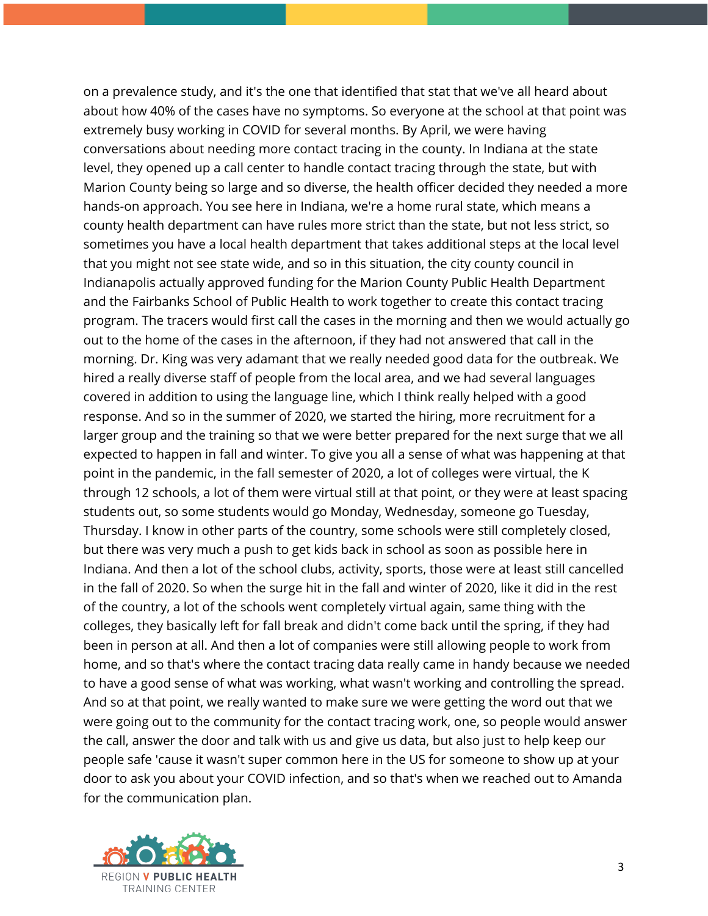on a prevalence study, and it's the one that identified that stat that we've all heard about about how 40% of the cases have no symptoms. So everyone at the school at that point was extremely busy working in COVID for several months. By April, we were having conversations about needing more contact tracing in the county. In Indiana at the state level, they opened up a call center to handle contact tracing through the state, but with Marion County being so large and so diverse, the health officer decided they needed a more hands-on approach. You see here in Indiana, we're a home rural state, which means a county health department can have rules more strict than the state, but not less strict, so sometimes you have a local health department that takes additional steps at the local level that you might not see state wide, and so in this situation, the city county council in Indianapolis actually approved funding for the Marion County Public Health Department and the Fairbanks School of Public Health to work together to create this contact tracing program. The tracers would first call the cases in the morning and then we would actually go out to the home of the cases in the afternoon, if they had not answered that call in the morning. Dr. King was very adamant that we really needed good data for the outbreak. We hired a really diverse staff of people from the local area, and we had several languages covered in addition to using the language line, which I think really helped with a good response. And so in the summer of 2020, we started the hiring, more recruitment for a larger group and the training so that we were better prepared for the next surge that we all expected to happen in fall and winter. To give you all a sense of what was happening at that point in the pandemic, in the fall semester of 2020, a lot of colleges were virtual, the K through 12 schools, a lot of them were virtual still at that point, or they were at least spacing students out, so some students would go Monday, Wednesday, someone go Tuesday, Thursday. I know in other parts of the country, some schools were still completely closed, but there was very much a push to get kids back in school as soon as possible here in Indiana. And then a lot of the school clubs, activity, sports, those were at least still cancelled in the fall of 2020. So when the surge hit in the fall and winter of 2020, like it did in the rest of the country, a lot of the schools went completely virtual again, same thing with the colleges, they basically left for fall break and didn't come back until the spring, if they had been in person at all. And then a lot of companies were still allowing people to work from home, and so that's where the contact tracing data really came in handy because we needed to have a good sense of what was working, what wasn't working and controlling the spread. And so at that point, we really wanted to make sure we were getting the word out that we were going out to the community for the contact tracing work, one, so people would answer the call, answer the door and talk with us and give us data, but also just to help keep our people safe 'cause it wasn't super common here in the US for someone to show up at your door to ask you about your COVID infection, and so that's when we reached out to Amanda for the communication plan.

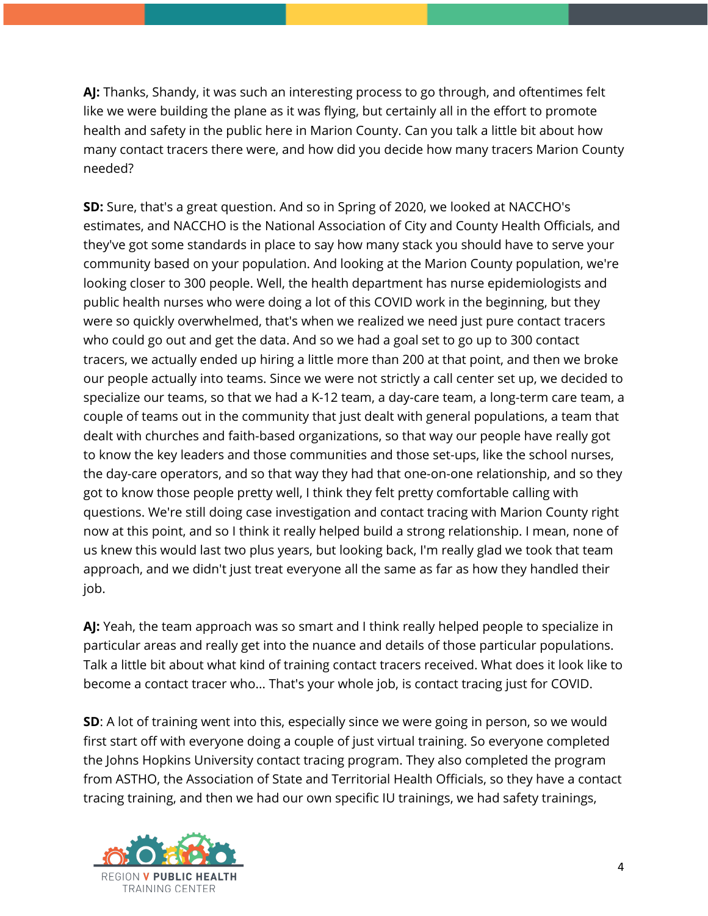**AJ:** Thanks, Shandy, it was such an interesting process to go through, and oftentimes felt like we were building the plane as it was flying, but certainly all in the effort to promote health and safety in the public here in Marion County. Can you talk a little bit about how many contact tracers there were, and how did you decide how many tracers Marion County needed?

**SD:** Sure, that's a great question. And so in Spring of 2020, we looked at NACCHO's estimates, and NACCHO is the National Association of City and County Health Officials, and they've got some standards in place to say how many stack you should have to serve your community based on your population. And looking at the Marion County population, we're looking closer to 300 people. Well, the health department has nurse epidemiologists and public health nurses who were doing a lot of this COVID work in the beginning, but they were so quickly overwhelmed, that's when we realized we need just pure contact tracers who could go out and get the data. And so we had a goal set to go up to 300 contact tracers, we actually ended up hiring a little more than 200 at that point, and then we broke our people actually into teams. Since we were not strictly a call center set up, we decided to specialize our teams, so that we had a K-12 team, a day-care team, a long-term care team, a couple of teams out in the community that just dealt with general populations, a team that dealt with churches and faith-based organizations, so that way our people have really got to know the key leaders and those communities and those set-ups, like the school nurses, the day-care operators, and so that way they had that one-on-one relationship, and so they got to know those people pretty well, I think they felt pretty comfortable calling with questions. We're still doing case investigation and contact tracing with Marion County right now at this point, and so I think it really helped build a strong relationship. I mean, none of us knew this would last two plus years, but looking back, I'm really glad we took that team approach, and we didn't just treat everyone all the same as far as how they handled their job.

**AJ:** Yeah, the team approach was so smart and I think really helped people to specialize in particular areas and really get into the nuance and details of those particular populations. Talk a little bit about what kind of training contact tracers received. What does it look like to become a contact tracer who... That's your whole job, is contact tracing just for COVID.

**SD**: A lot of training went into this, especially since we were going in person, so we would first start off with everyone doing a couple of just virtual training. So everyone completed the Johns Hopkins University contact tracing program. They also completed the program from ASTHO, the Association of State and Territorial Health Officials, so they have a contact tracing training, and then we had our own specific IU trainings, we had safety trainings,

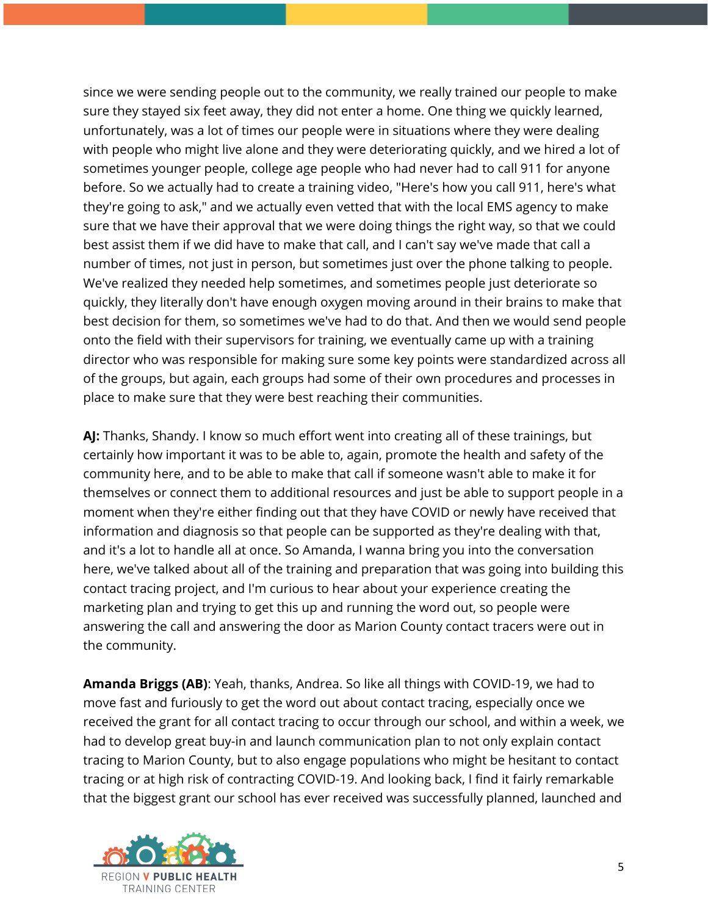since we were sending people out to the community, we really trained our people to make sure they stayed six feet away, they did not enter a home. One thing we quickly learned, unfortunately, was a lot of times our people were in situations where they were dealing with people who might live alone and they were deteriorating quickly, and we hired a lot of sometimes younger people, college age people who had never had to call 911 for anyone before. So we actually had to create a training video, "Here's how you call 911, here's what they're going to ask," and we actually even vetted that with the local EMS agency to make sure that we have their approval that we were doing things the right way, so that we could best assist them if we did have to make that call, and I can't say we've made that call a number of times, not just in person, but sometimes just over the phone talking to people. We've realized they needed help sometimes, and sometimes people just deteriorate so quickly, they literally don't have enough oxygen moving around in their brains to make that best decision for them, so sometimes we've had to do that. And then we would send people onto the field with their supervisors for training, we eventually came up with a training director who was responsible for making sure some key points were standardized across all of the groups, but again, each groups had some of their own procedures and processes in place to make sure that they were best reaching their communities.

**AJ:** Thanks, Shandy. I know so much effort went into creating all of these trainings, but certainly how important it was to be able to, again, promote the health and safety of the community here, and to be able to make that call if someone wasn't able to make it for themselves or connect them to additional resources and just be able to support people in a moment when they're either finding out that they have COVID or newly have received that information and diagnosis so that people can be supported as they're dealing with that, and it's a lot to handle all at once. So Amanda, I wanna bring you into the conversation here, we've talked about all of the training and preparation that was going into building this contact tracing project, and I'm curious to hear about your experience creating the marketing plan and trying to get this up and running the word out, so people were answering the call and answering the door as Marion County contact tracers were out in the community.

**Amanda Briggs (AB)**: Yeah, thanks, Andrea. So like all things with COVID-19, we had to move fast and furiously to get the word out about contact tracing, especially once we received the grant for all contact tracing to occur through our school, and within a week, we had to develop great buy-in and launch communication plan to not only explain contact tracing to Marion County, but to also engage populations who might be hesitant to contact tracing or at high risk of contracting COVID-19. And looking back, I find it fairly remarkable that the biggest grant our school has ever received was successfully planned, launched and

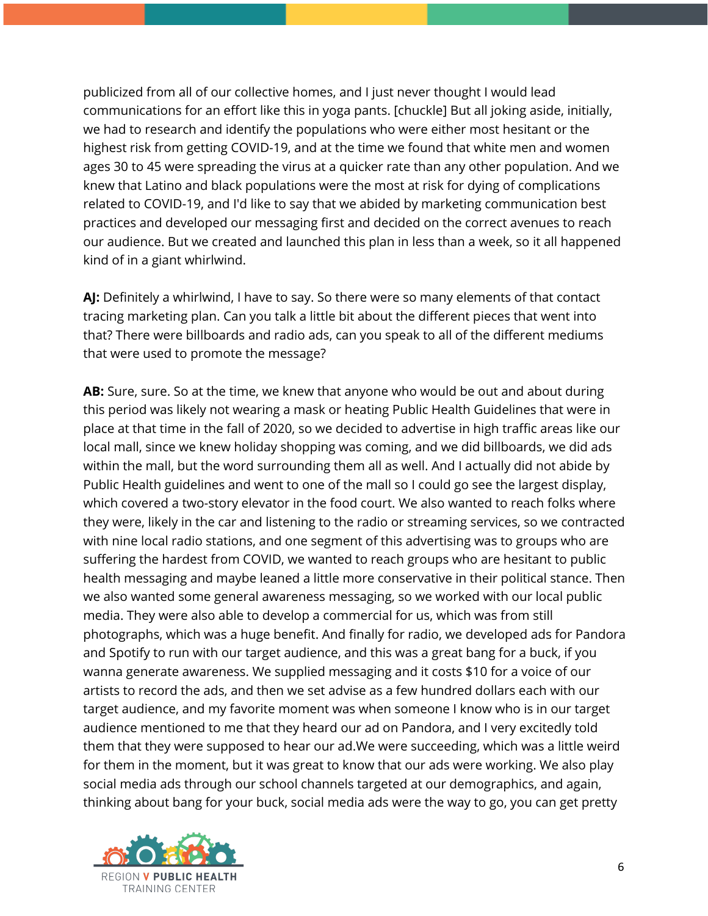publicized from all of our collective homes, and I just never thought I would lead communications for an effort like this in yoga pants. [chuckle] But all joking aside, initially, we had to research and identify the populations who were either most hesitant or the highest risk from getting COVID-19, and at the time we found that white men and women ages 30 to 45 were spreading the virus at a quicker rate than any other population. And we knew that Latino and black populations were the most at risk for dying of complications related to COVID-19, and I'd like to say that we abided by marketing communication best practices and developed our messaging first and decided on the correct avenues to reach our audience. But we created and launched this plan in less than a week, so it all happened kind of in a giant whirlwind.

**AJ:** Definitely a whirlwind, I have to say. So there were so many elements of that contact tracing marketing plan. Can you talk a little bit about the different pieces that went into that? There were billboards and radio ads, can you speak to all of the different mediums that were used to promote the message?

**AB:** Sure, sure. So at the time, we knew that anyone who would be out and about during this period was likely not wearing a mask or heating Public Health Guidelines that were in place at that time in the fall of 2020, so we decided to advertise in high traffic areas like our local mall, since we knew holiday shopping was coming, and we did billboards, we did ads within the mall, but the word surrounding them all as well. And I actually did not abide by Public Health guidelines and went to one of the mall so I could go see the largest display, which covered a two-story elevator in the food court. We also wanted to reach folks where they were, likely in the car and listening to the radio or streaming services, so we contracted with nine local radio stations, and one segment of this advertising was to groups who are suffering the hardest from COVID, we wanted to reach groups who are hesitant to public health messaging and maybe leaned a little more conservative in their political stance. Then we also wanted some general awareness messaging, so we worked with our local public media. They were also able to develop a commercial for us, which was from still photographs, which was a huge benefit. And finally for radio, we developed ads for Pandora and Spotify to run with our target audience, and this was a great bang for a buck, if you wanna generate awareness. We supplied messaging and it costs \$10 for a voice of our artists to record the ads, and then we set advise as a few hundred dollars each with our target audience, and my favorite moment was when someone I know who is in our target audience mentioned to me that they heard our ad on Pandora, and I very excitedly told them that they were supposed to hear our ad.We were succeeding, which was a little weird for them in the moment, but it was great to know that our ads were working. We also play social media ads through our school channels targeted at our demographics, and again, thinking about bang for your buck, social media ads were the way to go, you can get pretty

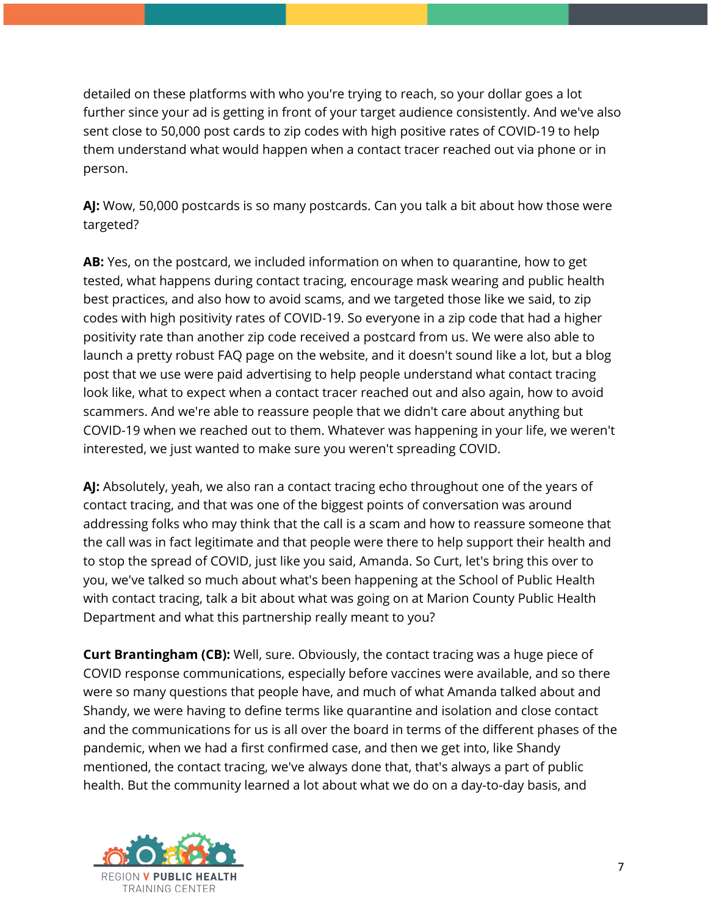detailed on these platforms with who you're trying to reach, so your dollar goes a lot further since your ad is getting in front of your target audience consistently. And we've also sent close to 50,000 post cards to zip codes with high positive rates of COVID-19 to help them understand what would happen when a contact tracer reached out via phone or in person.

**AJ:** Wow, 50,000 postcards is so many postcards. Can you talk a bit about how those were targeted?

**AB:** Yes, on the postcard, we included information on when to quarantine, how to get tested, what happens during contact tracing, encourage mask wearing and public health best practices, and also how to avoid scams, and we targeted those like we said, to zip codes with high positivity rates of COVID-19. So everyone in a zip code that had a higher positivity rate than another zip code received a postcard from us. We were also able to launch a pretty robust FAQ page on the website, and it doesn't sound like a lot, but a blog post that we use were paid advertising to help people understand what contact tracing look like, what to expect when a contact tracer reached out and also again, how to avoid scammers. And we're able to reassure people that we didn't care about anything but COVID-19 when we reached out to them. Whatever was happening in your life, we weren't interested, we just wanted to make sure you weren't spreading COVID.

**AJ:** Absolutely, yeah, we also ran a contact tracing echo throughout one of the years of contact tracing, and that was one of the biggest points of conversation was around addressing folks who may think that the call is a scam and how to reassure someone that the call was in fact legitimate and that people were there to help support their health and to stop the spread of COVID, just like you said, Amanda. So Curt, let's bring this over to you, we've talked so much about what's been happening at the School of Public Health with contact tracing, talk a bit about what was going on at Marion County Public Health Department and what this partnership really meant to you?

**Curt Brantingham (CB):** Well, sure. Obviously, the contact tracing was a huge piece of COVID response communications, especially before vaccines were available, and so there were so many questions that people have, and much of what Amanda talked about and Shandy, we were having to define terms like quarantine and isolation and close contact and the communications for us is all over the board in terms of the different phases of the pandemic, when we had a first confirmed case, and then we get into, like Shandy mentioned, the contact tracing, we've always done that, that's always a part of public health. But the community learned a lot about what we do on a day-to-day basis, and

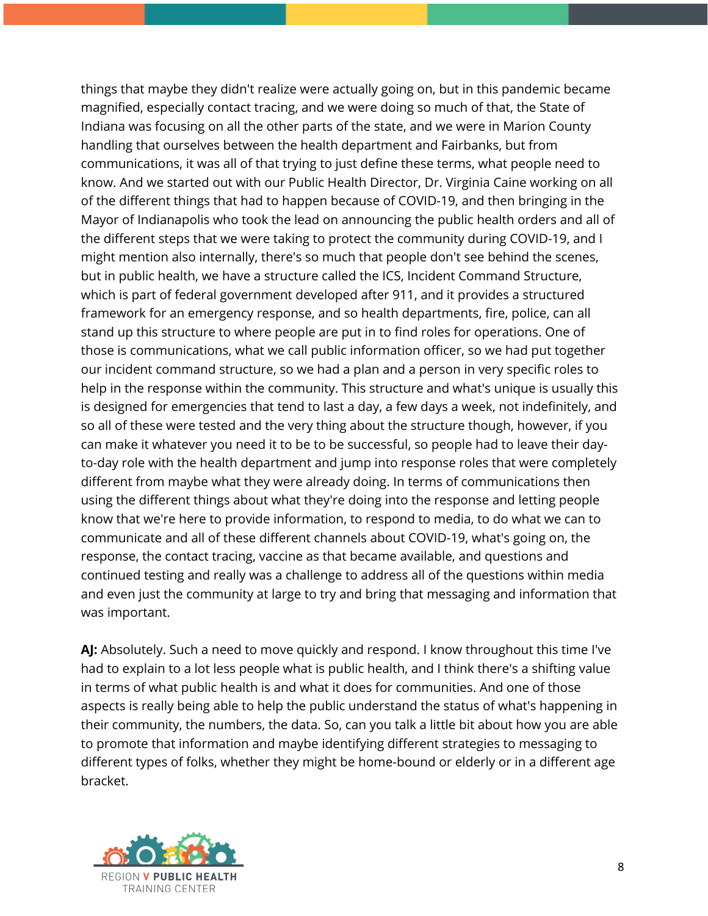things that maybe they didn't realize were actually going on, but in this pandemic became magnified, especially contact tracing, and we were doing so much of that, the State of Indiana was focusing on all the other parts of the state, and we were in Marion County handling that ourselves between the health department and Fairbanks, but from communications, it was all of that trying to just define these terms, what people need to know. And we started out with our Public Health Director, Dr. Virginia Caine working on all of the different things that had to happen because of COVID-19, and then bringing in the Mayor of Indianapolis who took the lead on announcing the public health orders and all of the different steps that we were taking to protect the community during COVID-19, and I might mention also internally, there's so much that people don't see behind the scenes, but in public health, we have a structure called the ICS, Incident Command Structure, which is part of federal government developed after 911, and it provides a structured framework for an emergency response, and so health departments, fire, police, can all stand up this structure to where people are put in to find roles for operations. One of those is communications, what we call public information officer, so we had put together our incident command structure, so we had a plan and a person in very specific roles to help in the response within the community. This structure and what's unique is usually this is designed for emergencies that tend to last a day, a few days a week, not indefinitely, and so all of these were tested and the very thing about the structure though, however, if you can make it whatever you need it to be to be successful, so people had to leave their dayto-day role with the health department and jump into response roles that were completely different from maybe what they were already doing. In terms of communications then using the different things about what they're doing into the response and letting people know that we're here to provide information, to respond to media, to do what we can to communicate and all of these different channels about COVID-19, what's going on, the response, the contact tracing, vaccine as that became available, and questions and continued testing and really was a challenge to address all of the questions within media and even just the community at large to try and bring that messaging and information that was important.

**AJ:** Absolutely. Such a need to move quickly and respond. I know throughout this time I've had to explain to a lot less people what is public health, and I think there's a shifting value in terms of what public health is and what it does for communities. And one of those aspects is really being able to help the public understand the status of what's happening in their community, the numbers, the data. So, can you talk a little bit about how you are able to promote that information and maybe identifying different strategies to messaging to different types of folks, whether they might be home-bound or elderly or in a different age bracket.

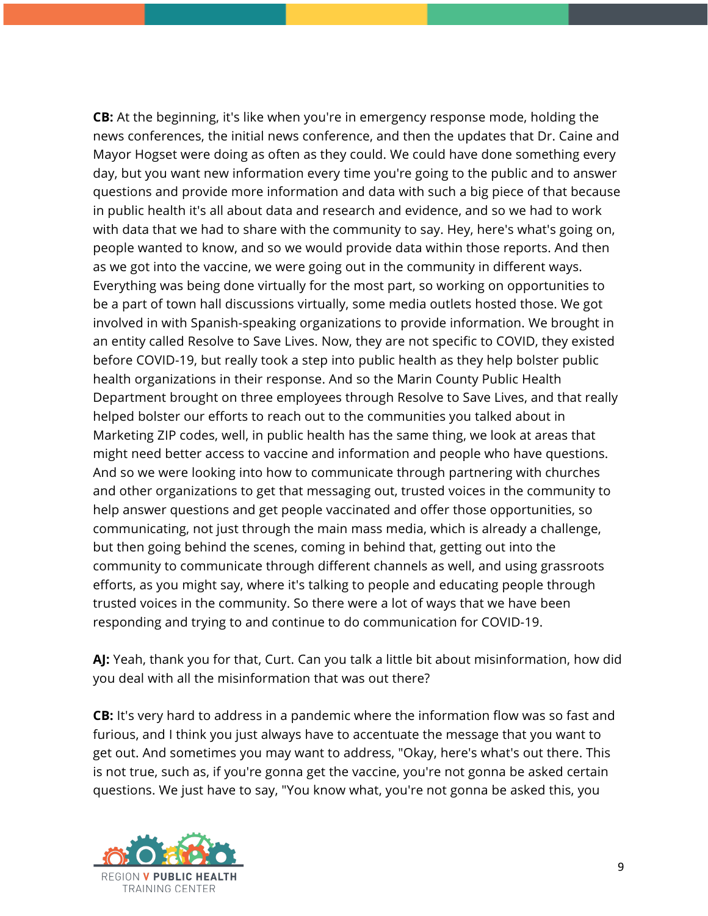**CB:** At the beginning, it's like when you're in emergency response mode, holding the news conferences, the initial news conference, and then the updates that Dr. Caine and Mayor Hogset were doing as often as they could. We could have done something every day, but you want new information every time you're going to the public and to answer questions and provide more information and data with such a big piece of that because in public health it's all about data and research and evidence, and so we had to work with data that we had to share with the community to say. Hey, here's what's going on, people wanted to know, and so we would provide data within those reports. And then as we got into the vaccine, we were going out in the community in different ways. Everything was being done virtually for the most part, so working on opportunities to be a part of town hall discussions virtually, some media outlets hosted those. We got involved in with Spanish-speaking organizations to provide information. We brought in an entity called Resolve to Save Lives. Now, they are not specific to COVID, they existed before COVID-19, but really took a step into public health as they help bolster public health organizations in their response. And so the Marin County Public Health Department brought on three employees through Resolve to Save Lives, and that really helped bolster our efforts to reach out to the communities you talked about in Marketing ZIP codes, well, in public health has the same thing, we look at areas that might need better access to vaccine and information and people who have questions. And so we were looking into how to communicate through partnering with churches and other organizations to get that messaging out, trusted voices in the community to help answer questions and get people vaccinated and offer those opportunities, so communicating, not just through the main mass media, which is already a challenge, but then going behind the scenes, coming in behind that, getting out into the community to communicate through different channels as well, and using grassroots efforts, as you might say, where it's talking to people and educating people through trusted voices in the community. So there were a lot of ways that we have been responding and trying to and continue to do communication for COVID-19.

**AJ:** Yeah, thank you for that, Curt. Can you talk a little bit about misinformation, how did you deal with all the misinformation that was out there?

**CB:** It's very hard to address in a pandemic where the information flow was so fast and furious, and I think you just always have to accentuate the message that you want to get out. And sometimes you may want to address, "Okay, here's what's out there. This is not true, such as, if you're gonna get the vaccine, you're not gonna be asked certain questions. We just have to say, "You know what, you're not gonna be asked this, you

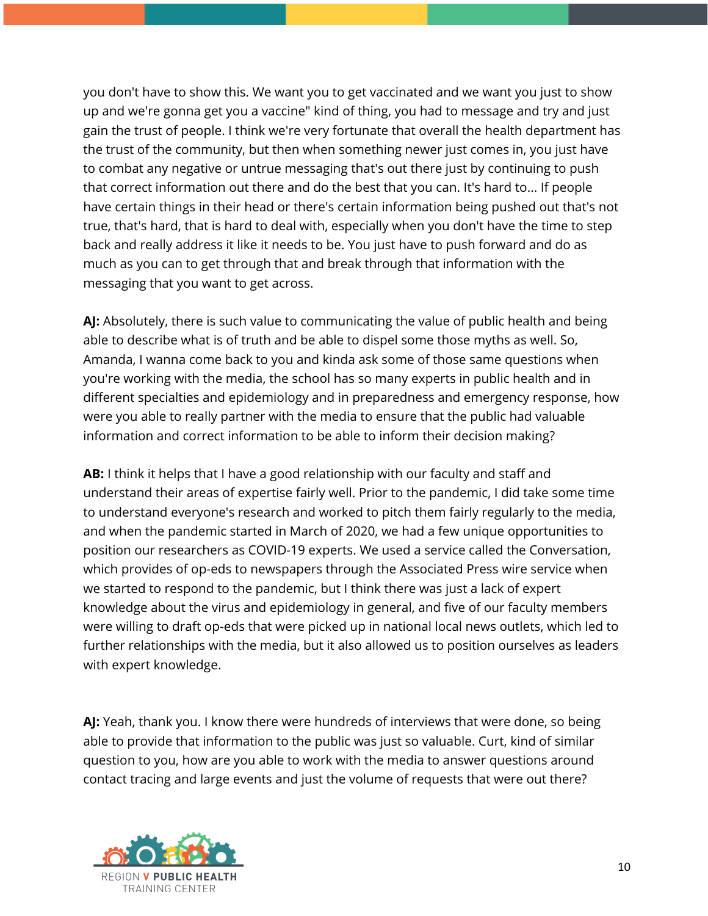you don't have to show this. We want you to get vaccinated and we want you just to show up and we're gonna get you a vaccine" kind of thing, you had to message and try and just gain the trust of people. I think we're very fortunate that overall the health department has the trust of the community, but then when something newer just comes in, you just have to combat any negative or untrue messaging that's out there just by continuing to push that correct information out there and do the best that you can. It's hard to... If people have certain things in their head or there's certain information being pushed out that's not true, that's hard, that is hard to deal with, especially when you don't have the time to step back and really address it like it needs to be. You just have to push forward and do as much as you can to get through that and break through that information with the messaging that you want to get across.

**AJ:** Absolutely, there is such value to communicating the value of public health and being able to describe what is of truth and be able to dispel some those myths as well. So, Amanda, I wanna come back to you and kinda ask some of those same questions when you're working with the media, the school has so many experts in public health and in different specialties and epidemiology and in preparedness and emergency response, how were you able to really partner with the media to ensure that the public had valuable information and correct information to be able to inform their decision making?

**AB:** I think it helps that I have a good relationship with our faculty and staff and understand their areas of expertise fairly well. Prior to the pandemic, I did take some time to understand everyone's research and worked to pitch them fairly regularly to the media, and when the pandemic started in March of 2020, we had a few unique opportunities to position our researchers as COVID-19 experts. We used a service called the Conversation, which provides of op-eds to newspapers through the Associated Press wire service when we started to respond to the pandemic, but I think there was just a lack of expert knowledge about the virus and epidemiology in general, and five of our faculty members were willing to draft op-eds that were picked up in national local news outlets, which led to further relationships with the media, but it also allowed us to position ourselves as leaders with expert knowledge.

**AJ:** Yeah, thank you. I know there were hundreds of interviews that were done, so being able to provide that information to the public was just so valuable. Curt, kind of similar question to you, how are you able to work with the media to answer questions around contact tracing and large events and just the volume of requests that were out there?

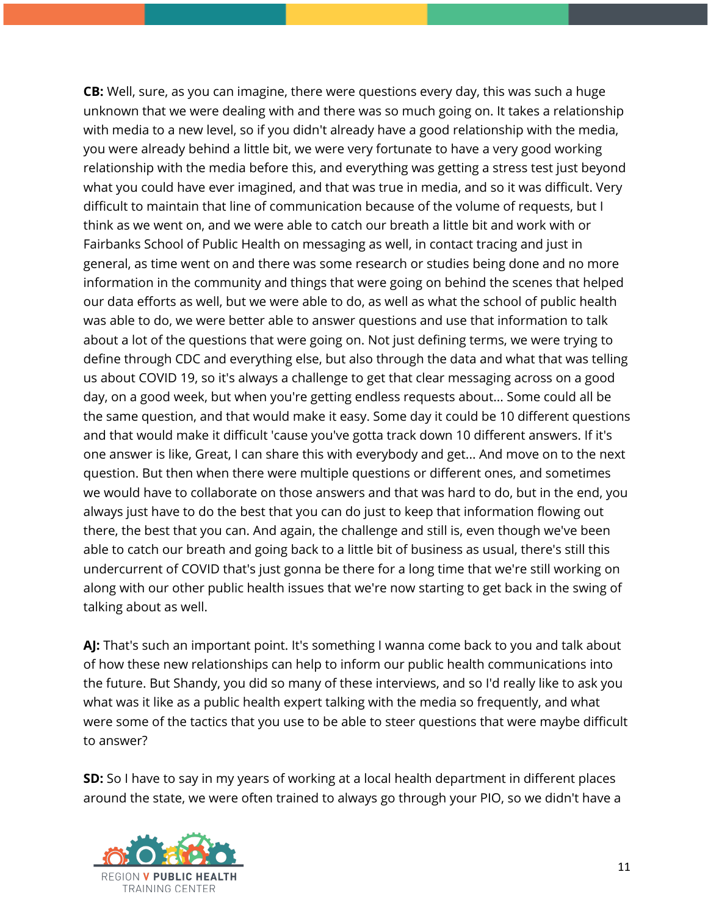**CB:** Well, sure, as you can imagine, there were questions every day, this was such a huge unknown that we were dealing with and there was so much going on. It takes a relationship with media to a new level, so if you didn't already have a good relationship with the media, you were already behind a little bit, we were very fortunate to have a very good working relationship with the media before this, and everything was getting a stress test just beyond what you could have ever imagined, and that was true in media, and so it was difficult. Very difficult to maintain that line of communication because of the volume of requests, but I think as we went on, and we were able to catch our breath a little bit and work with or Fairbanks School of Public Health on messaging as well, in contact tracing and just in general, as time went on and there was some research or studies being done and no more information in the community and things that were going on behind the scenes that helped our data efforts as well, but we were able to do, as well as what the school of public health was able to do, we were better able to answer questions and use that information to talk about a lot of the questions that were going on. Not just defining terms, we were trying to define through CDC and everything else, but also through the data and what that was telling us about COVID 19, so it's always a challenge to get that clear messaging across on a good day, on a good week, but when you're getting endless requests about... Some could all be the same question, and that would make it easy. Some day it could be 10 different questions and that would make it difficult 'cause you've gotta track down 10 different answers. If it's one answer is like, Great, I can share this with everybody and get... And move on to the next question. But then when there were multiple questions or different ones, and sometimes we would have to collaborate on those answers and that was hard to do, but in the end, you always just have to do the best that you can do just to keep that information flowing out there, the best that you can. And again, the challenge and still is, even though we've been able to catch our breath and going back to a little bit of business as usual, there's still this undercurrent of COVID that's just gonna be there for a long time that we're still working on along with our other public health issues that we're now starting to get back in the swing of talking about as well.

AJ: That's such an important point. It's something I wanna come back to you and talk about of how these new relationships can help to inform our public health communications into the future. But Shandy, you did so many of these interviews, and so I'd really like to ask you what was it like as a public health expert talking with the media so frequently, and what were some of the tactics that you use to be able to steer questions that were maybe difficult to answer?

**SD:** So I have to say in my years of working at a local health department in different places around the state, we were often trained to always go through your PIO, so we didn't have a

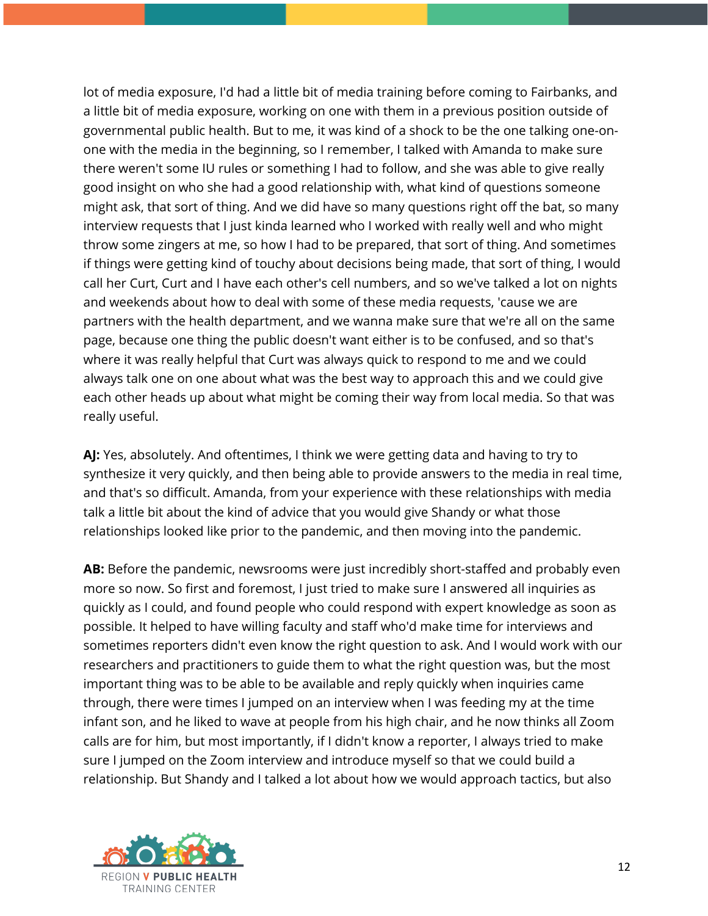lot of media exposure, I'd had a little bit of media training before coming to Fairbanks, and a little bit of media exposure, working on one with them in a previous position outside of governmental public health. But to me, it was kind of a shock to be the one talking one-onone with the media in the beginning, so I remember, I talked with Amanda to make sure there weren't some IU rules or something I had to follow, and she was able to give really good insight on who she had a good relationship with, what kind of questions someone might ask, that sort of thing. And we did have so many questions right off the bat, so many interview requests that I just kinda learned who I worked with really well and who might throw some zingers at me, so how I had to be prepared, that sort of thing. And sometimes if things were getting kind of touchy about decisions being made, that sort of thing, I would call her Curt, Curt and I have each other's cell numbers, and so we've talked a lot on nights and weekends about how to deal with some of these media requests, 'cause we are partners with the health department, and we wanna make sure that we're all on the same page, because one thing the public doesn't want either is to be confused, and so that's where it was really helpful that Curt was always quick to respond to me and we could always talk one on one about what was the best way to approach this and we could give each other heads up about what might be coming their way from local media. So that was really useful.

**AJ:** Yes, absolutely. And oftentimes, I think we were getting data and having to try to synthesize it very quickly, and then being able to provide answers to the media in real time, and that's so difficult. Amanda, from your experience with these relationships with media talk a little bit about the kind of advice that you would give Shandy or what those relationships looked like prior to the pandemic, and then moving into the pandemic.

**AB:** Before the pandemic, newsrooms were just incredibly short-staffed and probably even more so now. So first and foremost, I just tried to make sure I answered all inquiries as quickly as I could, and found people who could respond with expert knowledge as soon as possible. It helped to have willing faculty and staff who'd make time for interviews and sometimes reporters didn't even know the right question to ask. And I would work with our researchers and practitioners to guide them to what the right question was, but the most important thing was to be able to be available and reply quickly when inquiries came through, there were times I jumped on an interview when I was feeding my at the time infant son, and he liked to wave at people from his high chair, and he now thinks all Zoom calls are for him, but most importantly, if I didn't know a reporter, I always tried to make sure I jumped on the Zoom interview and introduce myself so that we could build a relationship. But Shandy and I talked a lot about how we would approach tactics, but also

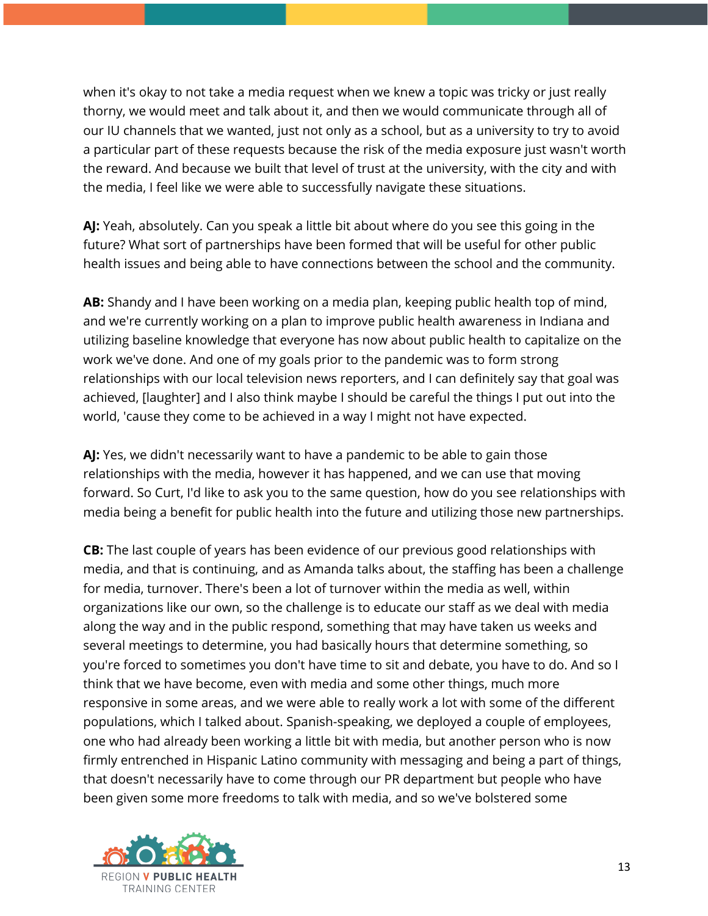when it's okay to not take a media request when we knew a topic was tricky or just really thorny, we would meet and talk about it, and then we would communicate through all of our IU channels that we wanted, just not only as a school, but as a university to try to avoid a particular part of these requests because the risk of the media exposure just wasn't worth the reward. And because we built that level of trust at the university, with the city and with the media, I feel like we were able to successfully navigate these situations.

**AJ:** Yeah, absolutely. Can you speak a little bit about where do you see this going in the future? What sort of partnerships have been formed that will be useful for other public health issues and being able to have connections between the school and the community.

**AB:** Shandy and I have been working on a media plan, keeping public health top of mind, and we're currently working on a plan to improve public health awareness in Indiana and utilizing baseline knowledge that everyone has now about public health to capitalize on the work we've done. And one of my goals prior to the pandemic was to form strong relationships with our local television news reporters, and I can definitely say that goal was achieved, [laughter] and I also think maybe I should be careful the things I put out into the world, 'cause they come to be achieved in a way I might not have expected.

**AJ:** Yes, we didn't necessarily want to have a pandemic to be able to gain those relationships with the media, however it has happened, and we can use that moving forward. So Curt, I'd like to ask you to the same question, how do you see relationships with media being a benefit for public health into the future and utilizing those new partnerships.

**CB:** The last couple of years has been evidence of our previous good relationships with media, and that is continuing, and as Amanda talks about, the staffing has been a challenge for media, turnover. There's been a lot of turnover within the media as well, within organizations like our own, so the challenge is to educate our staff as we deal with media along the way and in the public respond, something that may have taken us weeks and several meetings to determine, you had basically hours that determine something, so you're forced to sometimes you don't have time to sit and debate, you have to do. And so I think that we have become, even with media and some other things, much more responsive in some areas, and we were able to really work a lot with some of the different populations, which I talked about. Spanish-speaking, we deployed a couple of employees, one who had already been working a little bit with media, but another person who is now firmly entrenched in Hispanic Latino community with messaging and being a part of things, that doesn't necessarily have to come through our PR department but people who have been given some more freedoms to talk with media, and so we've bolstered some

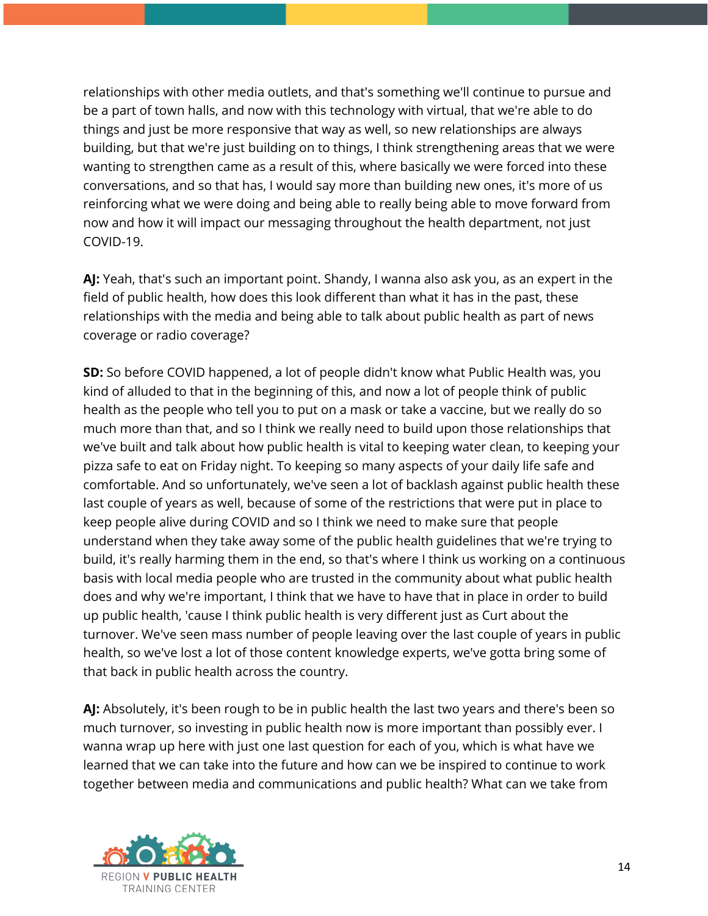relationships with other media outlets, and that's something we'll continue to pursue and be a part of town halls, and now with this technology with virtual, that we're able to do things and just be more responsive that way as well, so new relationships are always building, but that we're just building on to things, I think strengthening areas that we were wanting to strengthen came as a result of this, where basically we were forced into these conversations, and so that has, I would say more than building new ones, it's more of us reinforcing what we were doing and being able to really being able to move forward from now and how it will impact our messaging throughout the health department, not just COVID-19.

**AJ:** Yeah, that's such an important point. Shandy, I wanna also ask you, as an expert in the field of public health, how does this look different than what it has in the past, these relationships with the media and being able to talk about public health as part of news coverage or radio coverage?

**SD:** So before COVID happened, a lot of people didn't know what Public Health was, you kind of alluded to that in the beginning of this, and now a lot of people think of public health as the people who tell you to put on a mask or take a vaccine, but we really do so much more than that, and so I think we really need to build upon those relationships that we've built and talk about how public health is vital to keeping water clean, to keeping your pizza safe to eat on Friday night. To keeping so many aspects of your daily life safe and comfortable. And so unfortunately, we've seen a lot of backlash against public health these last couple of years as well, because of some of the restrictions that were put in place to keep people alive during COVID and so I think we need to make sure that people understand when they take away some of the public health guidelines that we're trying to build, it's really harming them in the end, so that's where I think us working on a continuous basis with local media people who are trusted in the community about what public health does and why we're important, I think that we have to have that in place in order to build up public health, 'cause I think public health is very different just as Curt about the turnover. We've seen mass number of people leaving over the last couple of years in public health, so we've lost a lot of those content knowledge experts, we've gotta bring some of that back in public health across the country.

**AJ:** Absolutely, it's been rough to be in public health the last two years and there's been so much turnover, so investing in public health now is more important than possibly ever. I wanna wrap up here with just one last question for each of you, which is what have we learned that we can take into the future and how can we be inspired to continue to work together between media and communications and public health? What can we take from

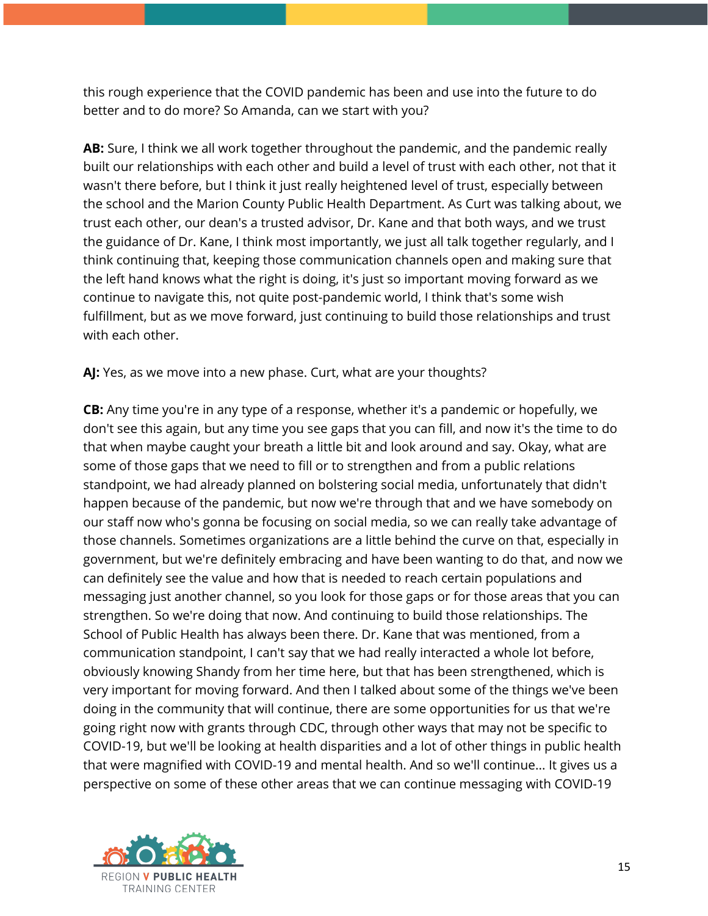this rough experience that the COVID pandemic has been and use into the future to do better and to do more? So Amanda, can we start with you?

**AB:** Sure, I think we all work together throughout the pandemic, and the pandemic really built our relationships with each other and build a level of trust with each other, not that it wasn't there before, but I think it just really heightened level of trust, especially between the school and the Marion County Public Health Department. As Curt was talking about, we trust each other, our dean's a trusted advisor, Dr. Kane and that both ways, and we trust the guidance of Dr. Kane, I think most importantly, we just all talk together regularly, and I think continuing that, keeping those communication channels open and making sure that the left hand knows what the right is doing, it's just so important moving forward as we continue to navigate this, not quite post-pandemic world, I think that's some wish fulfillment, but as we move forward, just continuing to build those relationships and trust with each other.

**AJ:** Yes, as we move into a new phase. Curt, what are your thoughts?

**CB:** Any time you're in any type of a response, whether it's a pandemic or hopefully, we don't see this again, but any time you see gaps that you can fill, and now it's the time to do that when maybe caught your breath a little bit and look around and say. Okay, what are some of those gaps that we need to fill or to strengthen and from a public relations standpoint, we had already planned on bolstering social media, unfortunately that didn't happen because of the pandemic, but now we're through that and we have somebody on our staff now who's gonna be focusing on social media, so we can really take advantage of those channels. Sometimes organizations are a little behind the curve on that, especially in government, but we're definitely embracing and have been wanting to do that, and now we can definitely see the value and how that is needed to reach certain populations and messaging just another channel, so you look for those gaps or for those areas that you can strengthen. So we're doing that now. And continuing to build those relationships. The School of Public Health has always been there. Dr. Kane that was mentioned, from a communication standpoint, I can't say that we had really interacted a whole lot before, obviously knowing Shandy from her time here, but that has been strengthened, which is very important for moving forward. And then I talked about some of the things we've been doing in the community that will continue, there are some opportunities for us that we're going right now with grants through CDC, through other ways that may not be specific to COVID-19, but we'll be looking at health disparities and a lot of other things in public health that were magnified with COVID-19 and mental health. And so we'll continue... It gives us a perspective on some of these other areas that we can continue messaging with COVID-19

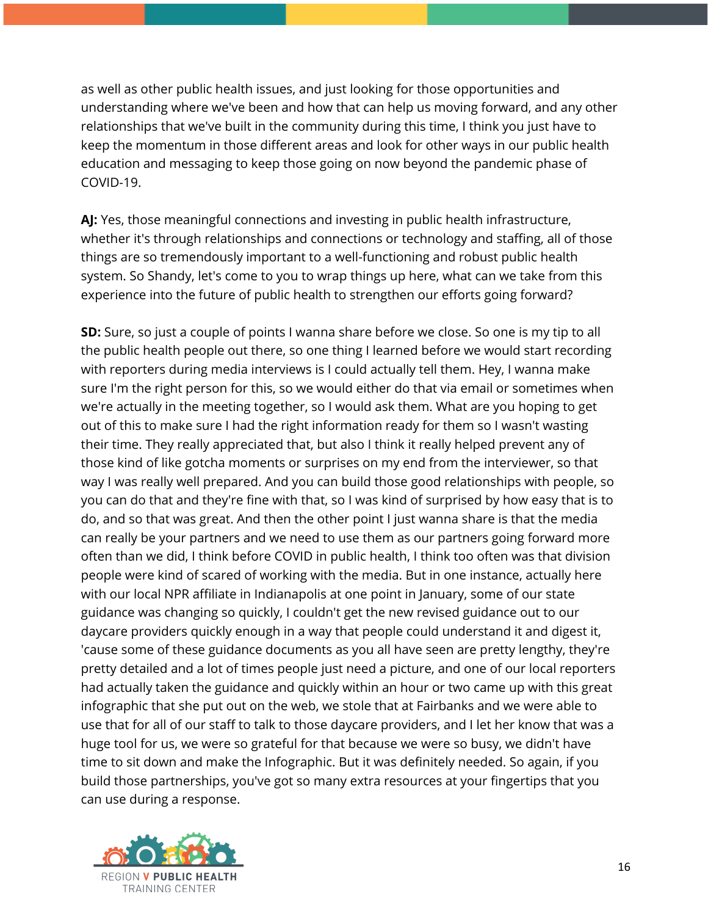as well as other public health issues, and just looking for those opportunities and understanding where we've been and how that can help us moving forward, and any other relationships that we've built in the community during this time, I think you just have to keep the momentum in those different areas and look for other ways in our public health education and messaging to keep those going on now beyond the pandemic phase of COVID-19.

**AJ:** Yes, those meaningful connections and investing in public health infrastructure, whether it's through relationships and connections or technology and staffing, all of those things are so tremendously important to a well-functioning and robust public health system. So Shandy, let's come to you to wrap things up here, what can we take from this experience into the future of public health to strengthen our efforts going forward?

**SD:** Sure, so just a couple of points I wanna share before we close. So one is my tip to all the public health people out there, so one thing I learned before we would start recording with reporters during media interviews is I could actually tell them. Hey, I wanna make sure I'm the right person for this, so we would either do that via email or sometimes when we're actually in the meeting together, so I would ask them. What are you hoping to get out of this to make sure I had the right information ready for them so I wasn't wasting their time. They really appreciated that, but also I think it really helped prevent any of those kind of like gotcha moments or surprises on my end from the interviewer, so that way I was really well prepared. And you can build those good relationships with people, so you can do that and they're fine with that, so I was kind of surprised by how easy that is to do, and so that was great. And then the other point I just wanna share is that the media can really be your partners and we need to use them as our partners going forward more often than we did, I think before COVID in public health, I think too often was that division people were kind of scared of working with the media. But in one instance, actually here with our local NPR affiliate in Indianapolis at one point in January, some of our state guidance was changing so quickly, I couldn't get the new revised guidance out to our daycare providers quickly enough in a way that people could understand it and digest it, 'cause some of these guidance documents as you all have seen are pretty lengthy, they're pretty detailed and a lot of times people just need a picture, and one of our local reporters had actually taken the guidance and quickly within an hour or two came up with this great infographic that she put out on the web, we stole that at Fairbanks and we were able to use that for all of our staff to talk to those daycare providers, and I let her know that was a huge tool for us, we were so grateful for that because we were so busy, we didn't have time to sit down and make the Infographic. But it was definitely needed. So again, if you build those partnerships, you've got so many extra resources at your fingertips that you can use during a response.